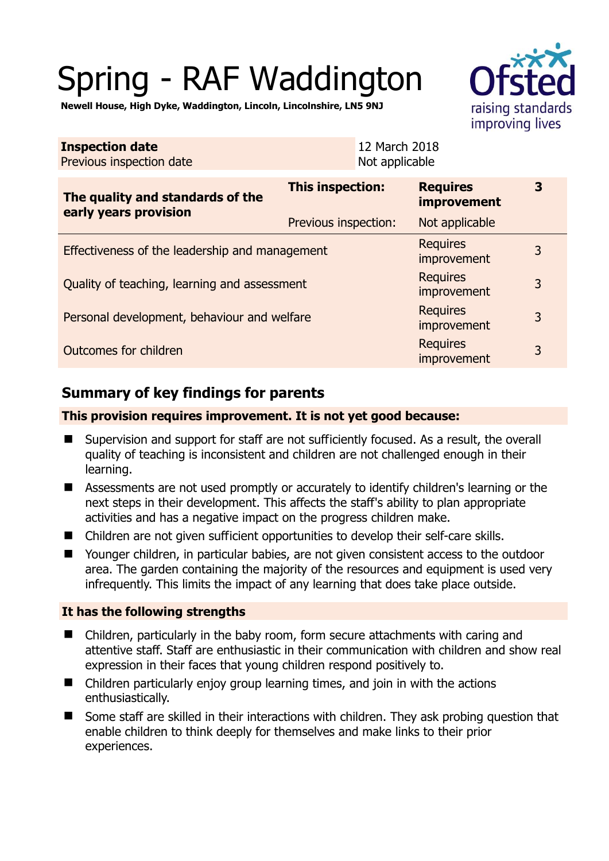# Spring - RAF Waddington

**Newell House, High Dyke, Waddington, Lincoln, Lincolnshire, LN5 9NJ** 

| <b>Inspection date</b><br>Previous inspection date        |                      | 12 March 2018<br>Not applicable |                                       |   |
|-----------------------------------------------------------|----------------------|---------------------------------|---------------------------------------|---|
| The quality and standards of the<br>early years provision | This inspection:     |                                 | <b>Requires</b><br><i>improvement</i> | 3 |
|                                                           | Previous inspection: |                                 | Not applicable                        |   |
| Effectiveness of the leadership and management            |                      |                                 | <b>Requires</b><br>improvement        | 3 |
| Quality of teaching, learning and assessment              |                      |                                 | <b>Requires</b><br>improvement        | 3 |
| Personal development, behaviour and welfare               |                      |                                 | <b>Requires</b><br>improvement        | 3 |
| Outcomes for children                                     |                      |                                 | <b>Requires</b><br>improvement        | 3 |

## **Summary of key findings for parents**

#### **This provision requires improvement. It is not yet good because:**

- Supervision and support for staff are not sufficiently focused. As a result, the overall quality of teaching is inconsistent and children are not challenged enough in their learning.
- Assessments are not used promptly or accurately to identify children's learning or the next steps in their development. This affects the staff's ability to plan appropriate activities and has a negative impact on the progress children make.
- Children are not given sufficient opportunities to develop their self-care skills.
- Younger children, in particular babies, are not given consistent access to the outdoor area. The garden containing the majority of the resources and equipment is used very infrequently. This limits the impact of any learning that does take place outside.

#### **It has the following strengths**

- Children, particularly in the baby room, form secure attachments with caring and attentive staff. Staff are enthusiastic in their communication with children and show real expression in their faces that young children respond positively to.
- Children particularly enjoy group learning times, and join in with the actions enthusiastically.
- Some staff are skilled in their interactions with children. They ask probing question that enable children to think deeply for themselves and make links to their prior experiences.

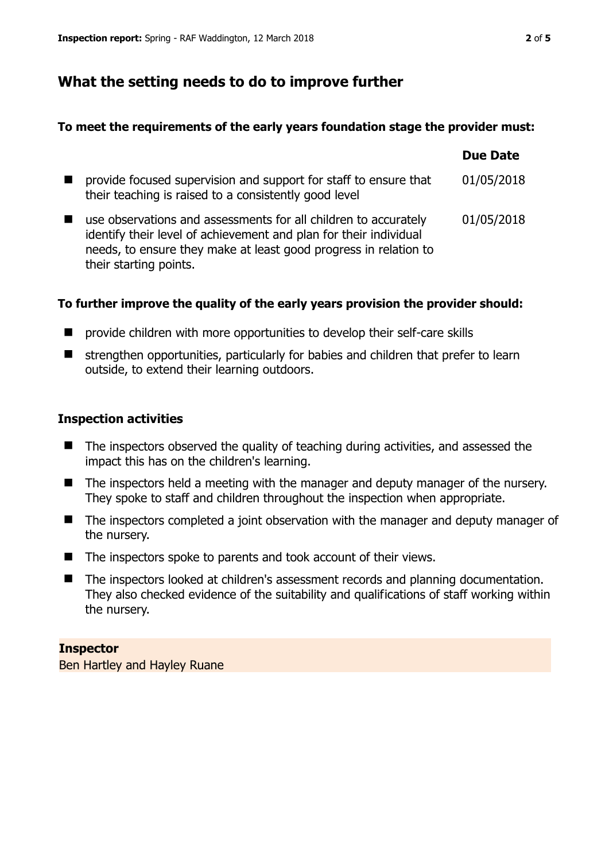### **What the setting needs to do to improve further**

#### **To meet the requirements of the early years foundation stage the provider must:**

|                                                                                                                                                                                                                                    | <b>Due Date</b> |
|------------------------------------------------------------------------------------------------------------------------------------------------------------------------------------------------------------------------------------|-----------------|
| provide focused supervision and support for staff to ensure that<br>their teaching is raised to a consistently good level                                                                                                          | 01/05/2018      |
| use observations and assessments for all children to accurately<br>identify their level of achievement and plan for their individual<br>needs, to ensure they make at least good progress in relation to<br>their starting points. | 01/05/2018      |

#### **To further improve the quality of the early years provision the provider should:**

- $\blacksquare$  provide children with more opportunities to develop their self-care skills
- $\blacksquare$  strengthen opportunities, particularly for babies and children that prefer to learn outside, to extend their learning outdoors.

#### **Inspection activities**

- The inspectors observed the quality of teaching during activities, and assessed the impact this has on the children's learning.
- The inspectors held a meeting with the manager and deputy manager of the nursery. They spoke to staff and children throughout the inspection when appropriate.
- The inspectors completed a joint observation with the manager and deputy manager of the nursery.
- The inspectors spoke to parents and took account of their views.
- The inspectors looked at children's assessment records and planning documentation. They also checked evidence of the suitability and qualifications of staff working within the nursery.

#### **Inspector**

Ben Hartley and Hayley Ruane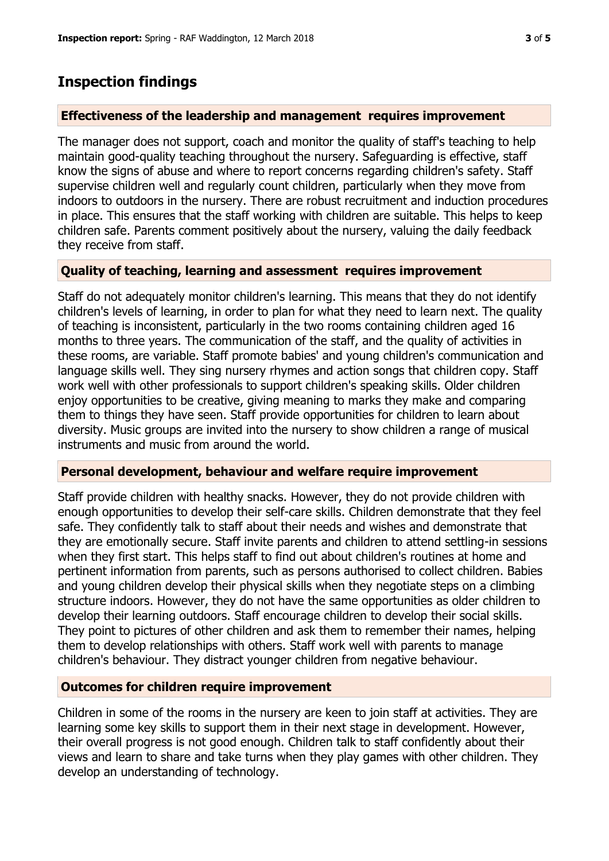#### **Effectiveness of the leadership and management requires improvement**

The manager does not support, coach and monitor the quality of staff's teaching to help maintain good-quality teaching throughout the nursery. Safeguarding is effective, staff know the signs of abuse and where to report concerns regarding children's safety. Staff supervise children well and regularly count children, particularly when they move from indoors to outdoors in the nursery. There are robust recruitment and induction procedures in place. This ensures that the staff working with children are suitable. This helps to keep children safe. Parents comment positively about the nursery, valuing the daily feedback they receive from staff.

#### **Quality of teaching, learning and assessment requires improvement**

Staff do not adequately monitor children's learning. This means that they do not identify children's levels of learning, in order to plan for what they need to learn next. The quality of teaching is inconsistent, particularly in the two rooms containing children aged 16 months to three years. The communication of the staff, and the quality of activities in these rooms, are variable. Staff promote babies' and young children's communication and language skills well. They sing nursery rhymes and action songs that children copy. Staff work well with other professionals to support children's speaking skills. Older children enjoy opportunities to be creative, giving meaning to marks they make and comparing them to things they have seen. Staff provide opportunities for children to learn about diversity. Music groups are invited into the nursery to show children a range of musical instruments and music from around the world.

#### **Personal development, behaviour and welfare require improvement**

Staff provide children with healthy snacks. However, they do not provide children with enough opportunities to develop their self-care skills. Children demonstrate that they feel safe. They confidently talk to staff about their needs and wishes and demonstrate that they are emotionally secure. Staff invite parents and children to attend settling-in sessions when they first start. This helps staff to find out about children's routines at home and pertinent information from parents, such as persons authorised to collect children. Babies and young children develop their physical skills when they negotiate steps on a climbing structure indoors. However, they do not have the same opportunities as older children to develop their learning outdoors. Staff encourage children to develop their social skills. They point to pictures of other children and ask them to remember their names, helping them to develop relationships with others. Staff work well with parents to manage children's behaviour. They distract younger children from negative behaviour.

#### **Outcomes for children require improvement**

Children in some of the rooms in the nursery are keen to join staff at activities. They are learning some key skills to support them in their next stage in development. However, their overall progress is not good enough. Children talk to staff confidently about their views and learn to share and take turns when they play games with other children. They develop an understanding of technology.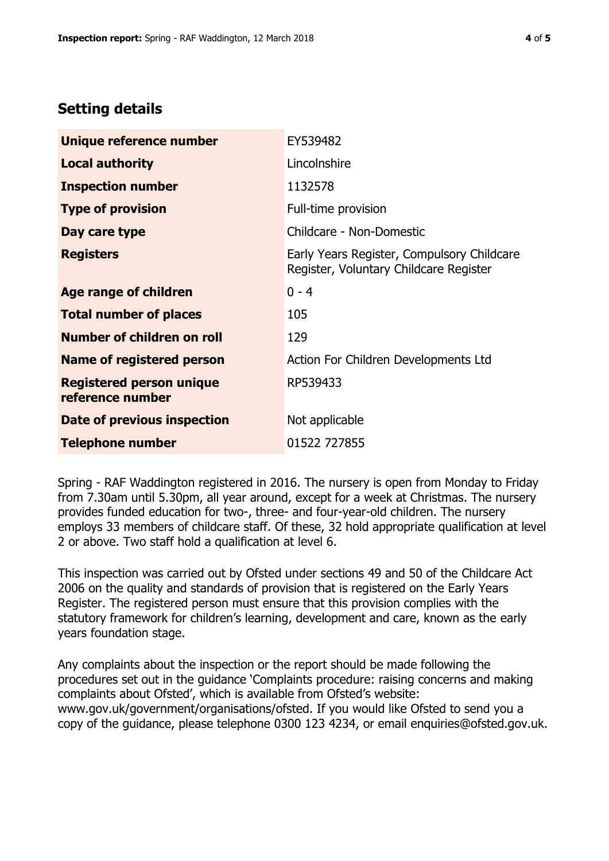## **Setting details**

| Unique reference number                             | EY539482                                                                             |
|-----------------------------------------------------|--------------------------------------------------------------------------------------|
| <b>Local authority</b>                              | Lincolnshire                                                                         |
| <b>Inspection number</b>                            | 1132578                                                                              |
| <b>Type of provision</b>                            | Full-time provision                                                                  |
| Day care type                                       | Childcare - Non-Domestic                                                             |
| <b>Registers</b>                                    | Early Years Register, Compulsory Childcare<br>Register, Voluntary Childcare Register |
| Age range of children                               | $0 - 4$                                                                              |
| <b>Total number of places</b>                       | 105                                                                                  |
| Number of children on roll                          | 129                                                                                  |
| <b>Name of registered person</b>                    | Action For Children Developments Ltd                                                 |
| <b>Registered person unique</b><br>reference number | RP539433                                                                             |
| Date of previous inspection                         | Not applicable                                                                       |
| <b>Telephone number</b>                             | 01522 727855                                                                         |

Spring - RAF Waddington registered in 2016. The nursery is open from Monday to Friday from 7.30am until 5.30pm, all year around, except for a week at Christmas. The nursery provides funded education for two-, three- and four-year-old children. The nursery employs 33 members of childcare staff. Of these, 32 hold appropriate qualification at level 2 or above. Two staff hold a qualification at level 6.

This inspection was carried out by Ofsted under sections 49 and 50 of the Childcare Act 2006 on the quality and standards of provision that is registered on the Early Years Register. The registered person must ensure that this provision complies with the statutory framework for children's learning, development and care, known as the early years foundation stage.

Any complaints about the inspection or the report should be made following the procedures set out in the guidance 'Complaints procedure: raising concerns and making complaints about Ofsted', which is available from Ofsted's website: www.gov.uk/government/organisations/ofsted. If you would like Ofsted to send you a copy of the guidance, please telephone 0300 123 4234, or email enquiries@ofsted.gov.uk.